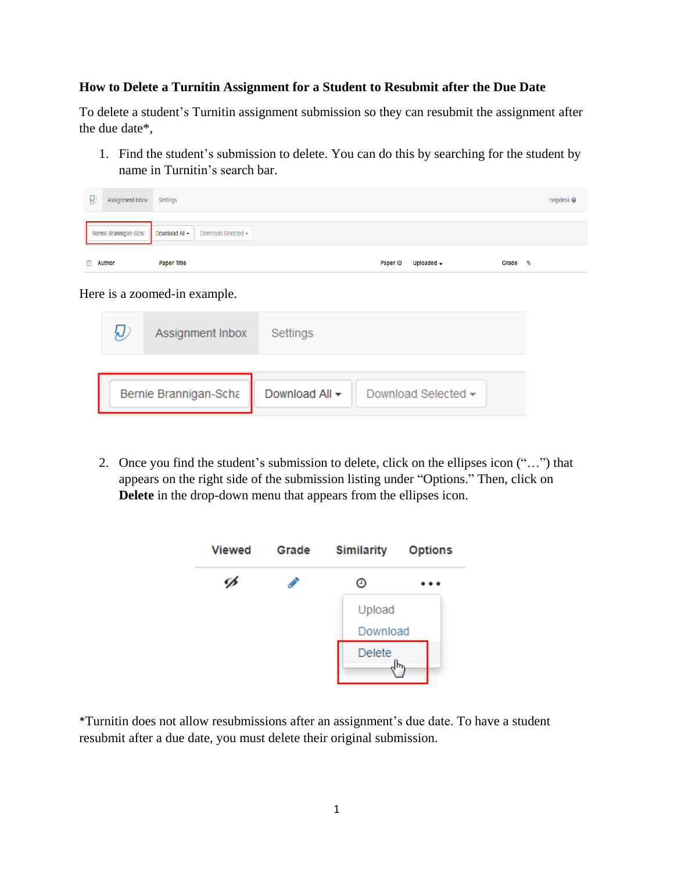## **How to Delete a Turnitin Assignment for a Student to Resubmit after the Due Date**

To delete a student's Turnitin assignment submission so they can resubmit the assignment after the due date\*,

1. Find the student's submission to delete. You can do this by searching for the student by name in Turnitin's search bar.

| g          | Assignment Inbox                       | Settings            |          |                        |       | Helpdesk <sup>®</sup> |
|------------|----------------------------------------|---------------------|----------|------------------------|-------|-----------------------|
|            | Bernie Brannigan-Scha   Download All - | Download Selected - |          |                        |       |                       |
| <b>FOR</b> | <b>Author</b>                          | <b>Paper Title</b>  | Paper ID | Uploaded $\rightarrow$ | Grade | $\%$                  |

Here is a zoomed-in example.

| Assignment Inbox      | Settings                              |
|-----------------------|---------------------------------------|
| Bernie Brannigan-Scha | Download All -<br>Download Selected - |

2. Once you find the student's submission to delete, click on the ellipses icon ("…") that appears on the right side of the submission listing under "Options." Then, click on **Delete** in the drop-down menu that appears from the ellipses icon.

| <b>Viewed</b> | Grade | <b>Similarity</b> | <b>Options</b> |
|---------------|-------|-------------------|----------------|
| Ú             |       | Θ                 |                |
|               |       | Upload            |                |
|               |       | Download          |                |
|               |       | <b>Delete</b>     | m              |
|               |       |                   |                |

\*Turnitin does not allow resubmissions after an assignment's due date. To have a student resubmit after a due date, you must delete their original submission.